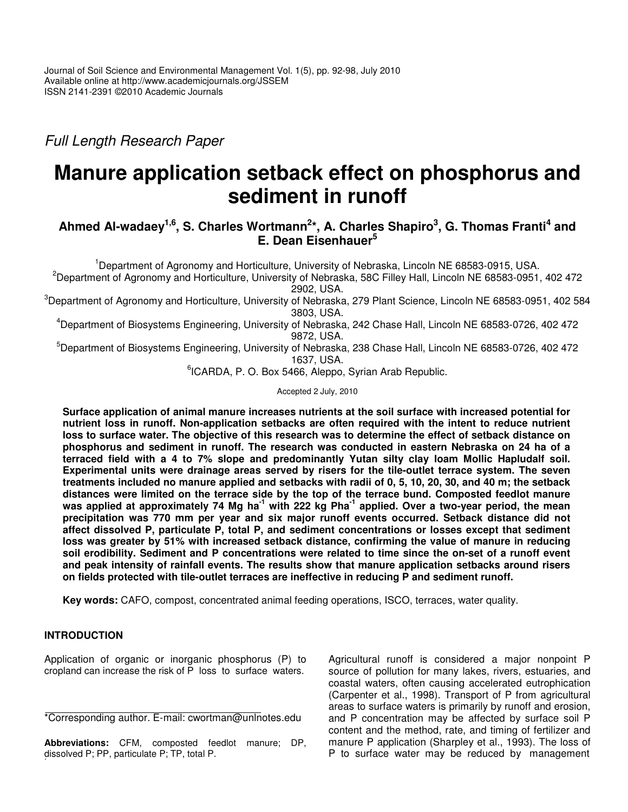*Full Length Research Paper*

# **Manure application setback effect on phosphorus and sediment in runoff**

# Ahmed Al-wadaey<sup>1,6</sup>, S. Charles Wortmann<sup>2</sup>\*, A. Charles Shapiro<sup>3</sup>, G. Thomas Franti<sup>4</sup> and **E. Dean Eisenhauer 5**

<sup>1</sup>Department of Agronomy and Horticulture, University of Nebraska, Lincoln NE 68583-0915, USA.

<sup>2</sup>Department of Agronomy and Horticulture, University of Nebraska, 58C Filley Hall, Lincoln NE 68583-0951, 402 472 2902, USA.

 $3$ Department of Agronomy and Horticulture, University of Nebraska, 279 Plant Science, Lincoln NE 68583-0951, 402 584 3803, USA.

<sup>4</sup>Department of Biosystems Engineering, University of Nebraska, 242 Chase Hall, Lincoln NE 68583-0726, 402 472 9872, USA.

<sup>5</sup>Department of Biosystems Engineering, University of Nebraska, 238 Chase Hall, Lincoln NE 68583-0726, 402 472 1637, USA.

<sup>6</sup>ICARDA, P. O. Box 5466, Aleppo, Syrian Arab Republic.

Accepted 2 July, 2010

**Surface application of animal manure increases nutrients at the soil surface with increased potential for nutrient loss in runoff. Non-application setbacks are often required with the intent to reduce nutrient** loss to surface water. The objective of this research was to determine the effect of setback distance on **phosphorus and sediment in runoff. The research was conducted in eastern Nebraska on 24 ha of a terraced field with a 4 to 7% slope and predominantly Yutan silty clay loam Mollic Hapludalf soil. Experimental units were drainage areas served by risers for the tile-outlet terrace system. The seven** treatments included no manure applied and setbacks with radii of 0, 5, 10, 20, 30, and 40 m; the setback **distances were limited on the terrace side by the top of the terrace bund. Composted feedlot manure** was applied at approximately 74 Mg ha<sup>-1</sup> with 222 kg Pha<sup>-1</sup> applied. Over a two-year period, the mean **precipitation was 770 mm per year and six major runoff events occurred. Setback distance did not affect dissolved P, particulate P, total P, and sediment concentrations or losses except that sediment loss was greater by 51% with increased setback distance, confirming the value of manure in reducing soil erodibility. Sediment and P concentrations were related to time since the on-set of a runoff event and peak intensity of rainfall events. The results show that manure application setbacks around risers on fields protected with tile-outlet terraces are ineffective in reducing P and sediment runoff.**

**Key words:** CAFO, compost, concentrated animal feeding operations, ISCO, terraces, water quality.

# **INTRODUCTION**

Application of organic or inorganic phosphorus (P) to cropland can increase the risk of P loss to surface waters.

**Abbreviations:** CFM, composted feedlot manure; DP, dissolved P; PP, particulate P; TP, total P.

Agricultural runoff is considered a major nonpoint P source of pollution for many lakes, rivers, estuaries, and coastal waters, often causing accelerated eutrophication (Carpenter et al., 1998). Transport of P from agricultural areas to surface waters is primarily by runoff and erosion, and P concentration may be affected by surface soil P content and the method, rate, and timing of fertilizer and manure P application (Sharpley et al., 1993). The loss of P to surface water may be reduced by management

<sup>\*</sup>Corresponding author. E-mail: cwortman@unlnotes.edu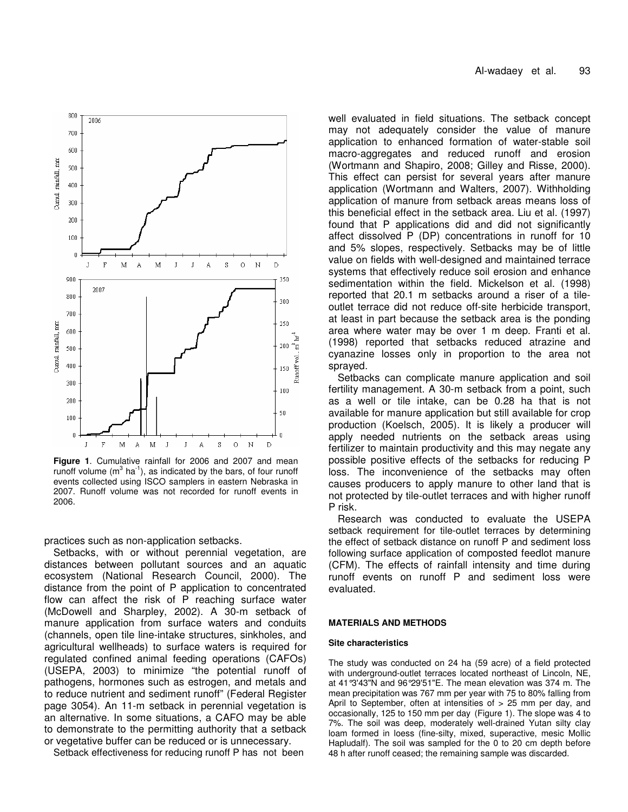

**Figure 1**. Cumulative rainfall for 2006 and 2007 and mean runoff volume  $(m^3 \text{ ha}^1)$ , as indicated by the bars, of four runoff events collected using ISCO samplers in eastern Nebraska in 2007. Runoff volume was not recorded for runoff events in 2006.

practices such as non-application setbacks.

Setbacks, with or without perennial vegetation, are distances between pollutant sources and an aquatic ecosystem (National Research Council, 2000). The distance from the point of P application to concentrated flow can affect the risk of P reaching surface water (McDowell and Sharpley, 2002). A 30-m setback of manure application from surface waters and conduits (channels, open tile line-intake structures, sinkholes, and agricultural wellheads) to surface waters is required for regulated confined animal feeding operations (CAFOs) (USEPA, 2003) to minimize "the potential runoff of pathogens, hormones such as estrogen, and metals and to reduce nutrient and sediment runoff" (Federal Register page 3054). An 11-m setback in perennial vegetation is an alternative. In some situations, a CAFO may be able to demonstrate to the permitting authority that a setback or vegetative buffer can be reduced or is unnecessary.

Setback effectiveness for reducing runoff P has not been

well evaluated in field situations. The setback concept may not adequately consider the value of manure application to enhanced formation of water-stable soil macro-aggregates and reduced runoff and erosion (Wortmann and Shapiro, 2008; Gilley and Risse, 2000). This effect can persist for several years after manure application (Wortmann and Walters, 2007). Withholding application of manure from setback areas means loss of this beneficial effect in the setback area. Liu et al. (1997) found that P applications did and did not significantly affect dissolved P (DP) concentrations in runoff for 10 and 5% slopes, respectively. Setbacks may be of little value on fields with well-designed and maintained terrace systems that effectively reduce soil erosion and enhance sedimentation within the field. Mickelson et al. (1998) reported that 20.1 m setbacks around a riser of a tileoutlet terrace did not reduce off-site herbicide transport, at least in part because the setback area is the ponding area where water may be over 1 m deep. Franti et al. (1998) reported that setbacks reduced atrazine and cyanazine losses only in proportion to the area not sprayed.

Setbacks can complicate manure application and soil fertility management. A 30-m setback from a point, such as a well or tile intake, can be 0.28 ha that is not available for manure application but still available for crop production (Koelsch, 2005). It is likely a producer will apply needed nutrients on the setback areas using fertilizer to maintain productivity and this may negate any possible positive effects of the setbacks for reducing P loss. The inconvenience of the setbacks may often causes producers to apply manure to other land that is not protected by tile-outlet terraces and with higher runoff P risk.

Research was conducted to evaluate the USEPA setback requirement for tile-outlet terraces by determining the effect of setback distance on runoff P and sediment loss following surface application of composted feedlot manure (CFM). The effects of rainfall intensity and time during runoff events on runoff P and sediment loss were evaluated.

## **MATERIALS AND METHODS**

# **Site characteristics**

The study was conducted on 24 ha (59 acre) of a field protected with underground-outlet terraces located northeast of Lincoln, NE, at 41°3'43"N and 96°29'51"E. The mean elevation was 374 m. The mean precipitation was 767 mm per year with 75 to 80% falling from April to September, often at intensities of  $> 25$  mm per day, and occasionally, 125 to 150 mm per day (Figure 1). The slope was 4 to 7%. The soil was deep, moderately well-drained Yutan silty clay loam formed in loess (fine-silty, mixed, superactive, mesic Mollic Hapludalf). The soil was sampled for the 0 to 20 cm depth before 48 h after runoff ceased; the remaining sample was discarded.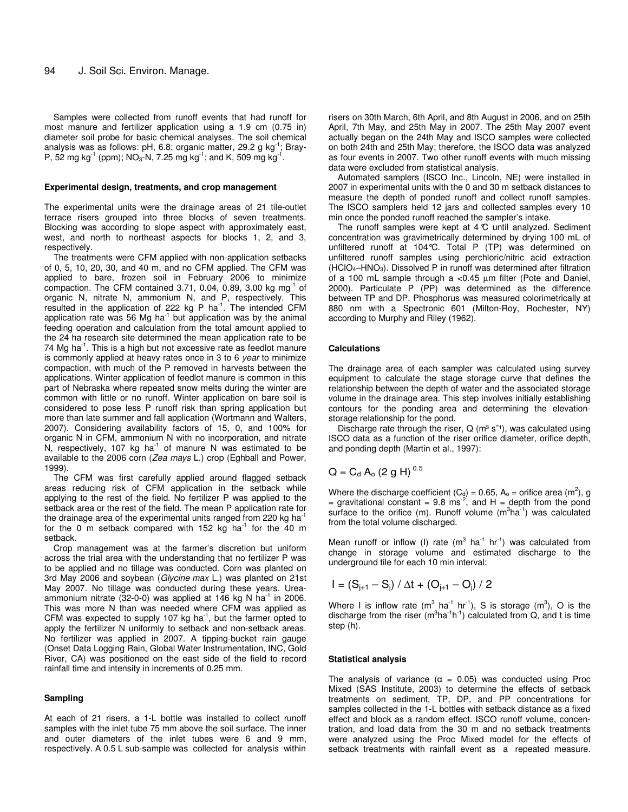Samples were collected from runoff events that had runoff for most manure and fertilizer application using a 1.9 cm (0.75 in) diameter soil probe for basic chemical analyses. The soil chemical analysis was as follows: pH, 6.8; organic matter, 29.2 g kg<sup>-1</sup>; Bray-P, 52 mg kg<sup>-1</sup> (ppm); NO<sub>3</sub>-N, 7.25 mg kg<sup>-1</sup>; and K, 509 mg kg<sup>-1</sup>.

#### **Experimental design, treatments, and crop management**

The experimental units were the drainage areas of 21 tile-outlet terrace risers grouped into three blocks of seven treatments. Blocking was according to slope aspect with approximately east, west, and north to northeast aspects for blocks 1, 2, and 3, respectively.

The treatments were CFM applied with non-application setbacks of 0, 5, 10, 20, 30, and 40 m, and no CFM applied. The CFM was applied to bare, frozen soil in February 2006 to minimize compaction. The CFM contained 3.71, 0.04, 0.89, 3.00 kg mg $^{-1}$  of organic N, nitrate N, ammonium N, and P, respectively. This resulted in the application of 222 kg P ha<sup>-1</sup>. The intended CFM application rate was 56 Mg ha $^{-1}$  but application was by the animal feeding operation and calculation from the total amount applied to the 24 ha research site determined the mean application rate to be 74 Mg ha $^{-1}$ . This is a high but not excessive rate as feedlot manure is commonly applied at heavy rates once in 3 to 6 *year* to minimize compaction, with much of the P removed in harvests between the applications. Winter application of feedlot manure is common in this part of Nebraska where repeated snow melts during the winter are common with little or no runoff. Winter application on bare soil is considered to pose less P runoff risk than spring application but more than late summer and fall application (Wortmann and Walters, 2007). Considering availability factors of 15, 0, and 100% for organic N in CFM, ammonium N with no incorporation, and nitrate N, respectively, 107 kg ha<sup>-1</sup> of manure N was estimated to be available to the 2006 corn (*Zea mays* L.) crop (Eghball and Power, 1999).

The CFM was first carefully applied around flagged setback areas reducing risk of CFM application in the setback while applying to the rest of the field. No fertilizer P was applied to the setback area or the rest of the field. The mean P application rate for the drainage area of the experimental units ranged from 220 kg ha<sup>-1</sup> for the 0 m setback compared with 152 kg ha<sup>-1</sup> for the 40 m setback.

Crop management was at the farmer's discretion but uniform across the trial area with the understanding that no fertilizer P was to be applied and no tillage was conducted. Corn was planted on 3rd May 2006 and soybean (*Glycine max* L.) was planted on 21st May 2007. No tillage was conducted during these years. Ureaammonium nitrate (32-0-0) was applied at 146 kg N ha<sup>-1</sup> in 2006. This was more N than was needed where CFM was applied as CFM was expected to supply 107 kg ha $^{-1}$ , but the farmer opted to apply the fertilizer N uniformly to setback and non-setback areas. No fertilizer was applied in 2007. A tipping-bucket rain gauge (Onset Data Logging Rain, Global Water Instrumentation, INC, Gold River, CA) was positioned on the east side of the field to record rainfall time and intensity in increments of 0.25 mm.

## **Sampling**

At each of 21 risers, a 1-L bottle was installed to collect runoff samples with the inlet tube 75 mm above the soil surface. The inner and outer diameters of the inlet tubes were 6 and 9 mm, respectively. A 0.5 L sub-sample was collected for analysis within

risers on 30th March, 6th April, and 8th August in 2006, and on 25th April, 7th May, and 25th May in 2007. The 25th May 2007 event actually began on the 24th May and ISCO samples were collected on both 24th and 25th May; therefore, the ISCO data was analyzed as four events in 2007. Two other runoff events with much missing data were excluded from statistical analysis.

Automated samplers (ISCO Inc., Lincoln, NE) were installed in 2007 in experimental units with the 0 and 30 m setback distances to measure the depth of ponded runoff and collect runoff samples. The ISCO samplers held 12 jars and collected samples every 10 min once the ponded runoff reached the sampler's intake.

The runoff samples were kept at 4*°*C until analyzed. Sediment concentration was gravimetrically determined by drying 100 mL of unfiltered runoff at 104°C. Total P (TP) was determined on unfiltered runoff samples using perchloric/nitric acid extraction  $(HClO<sub>4</sub>-HNO<sub>3</sub>)$ . Dissolved P in runoff was determined after filtration of a 100 mL sample through a <0.45 µm filter (Pote and Daniel, 2000). Particulate P (PP) was determined as the difference between TP and DP. Phosphorus was measured colorimetrically at 880 nm with a Spectronic 601 (Milton-Roy, Rochester, NY) according to Murphy and Riley (1962).

### **Calculations**

The drainage area of each sampler was calculated using survey equipment to calculate the stage storage curve that defines the relationship between the depth of water and the associated storage volume in the drainage area. This step involves initially establishing contours for the ponding area and determining the elevationstorage relationship for the pond.

Discharge rate through the riser, Q ( $m<sup>3</sup>$  s<sup>-1</sup>), was calculated using ISCO data as a function of the riser orifice diameter, orifice depth, and ponding depth (Martin et al., 1997):

$$
Q = C_d A_o (2 g H)^{0.5}
$$

Where the discharge coefficient (C<sub>d</sub>) = 0.65, A<sub>o</sub> = orifice area (m<sup>2</sup>), g = gravitational constant = 9.8 ms<sup>-2</sup>, and H = depth from the pond surface to the orifice (m). Runoff volume  $(m^3ha^{-1})$  was calculated from the total volume discharged.

Mean runoff or inflow (I) rate  $(m^3 \text{ ha}^{-1} \text{ hr}^{-1})$  was calculated from change in storage volume and estimated discharge to the underground tile for each 10 min interval:

$$
I = (S_{j+1} - S_j) / \Delta t + (O_{j+1} - O_j) / 2
$$

Where I is inflow rate (m<sup>3</sup> ha<sup>-1</sup> hr<sup>-1</sup>), S is storage (m<sup>3</sup>), O is the discharge from the riser  $(m^3ha^{-1}h^{-1})$  calculated from Q, and t is time step (h).

#### **Statistical analysis**

The analysis of variance ( $\alpha = 0.05$ ) was conducted using Proc Mixed (SAS Institute, 2003) to determine the effects of setback treatments on sediment, TP, DP, and PP concentrations for samples collected in the 1-L bottles with setback distance as a fixed effect and block as a random effect. ISCO runoff volume, concentration, and load data from the 30 m and no setback treatments were analyzed using the Proc Mixed model for the effects of setback treatments with rainfall event as a repeated measure.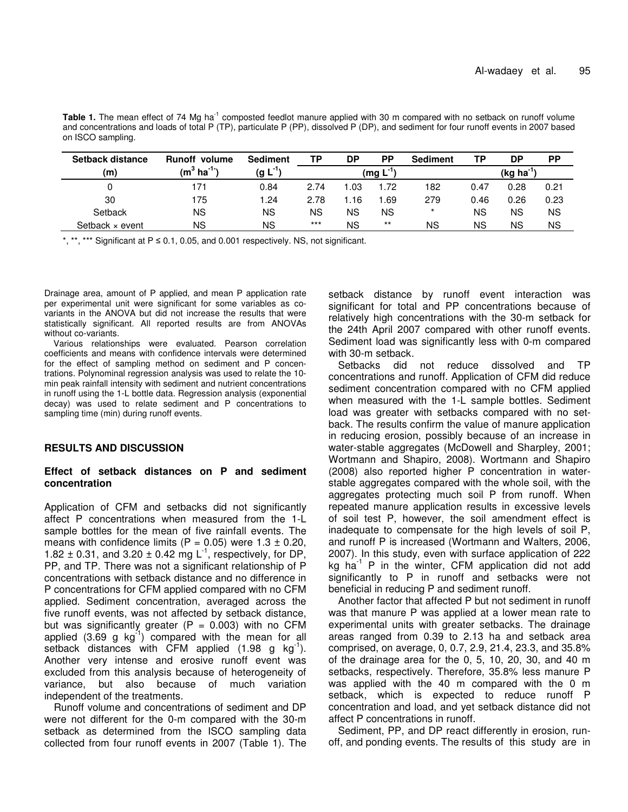Table 1. The mean effect of 74 Mg ha<sup>-1</sup> composted feedlot manure applied with 30 m compared with no setback on runoff volume and concentrations and loads of total P (TP), particulate P (PP), dissolved P (DP), and sediment for four runoff events in 2007 based on ISCO sampling.

| Setback distance       | <b>Runoff volume</b> | <b>Sediment</b> | ТP    | DP                             | РP    | <b>Sediment</b> | ТP   | DP   | <b>PP</b> |
|------------------------|----------------------|-----------------|-------|--------------------------------|-------|-----------------|------|------|-----------|
| (m)                    | $(m^3 \, ha^{-1})$   | $(g L^{-1})$    |       | (kg ha <sup>-1</sup><br>(mg L) |       |                 |      |      |           |
|                        | 171                  | 0.84            | 2.74  | 1.03                           | 1.72  | 182             | 0.47 | 0.28 | 0.21      |
| 30                     | 175                  | .24             | 2.78  | .16                            | 1.69  | 279             | 0.46 | 0.26 | 0.23      |
| Setback                | ΝS                   | ΝS              | ΝS    | ΝS                             | ΝS    | $\star$         | ΝS   | ΝS   | <b>NS</b> |
| Setback $\times$ event | ΝS                   | ΝS              | $***$ | ΝS                             | $***$ | ΝS              | ΝS   | ΝS   | ΝS        |

\*, \*\*, \*\*\* Significant at  $P \le 0.1$ , 0.05, and 0.001 respectively. NS, not significant.

Drainage area, amount of P applied, and mean P application rate per experimental unit were significant for some variables as covariants in the ANOVA but did not increase the results that were statistically significant. All reported results are from ANOVAs without co-variants.

Various relationships were evaluated. Pearson correlation coefficients and means with confidence intervals were determined for the effect of sampling method on sediment and P concentrations. Polynominal regression analysis was used to relate the 10 min peak rainfall intensity with sediment and nutrient concentrations in runoff using the 1-L bottle data. Regression analysis (exponential decay) was used to relate sediment and P concentrations to sampling time (min) during runoff events.

# **RESULTS AND DISCUSSION**

# **Effect of setback distances on P and sediment concentration**

Application of CFM and setbacks did not significantly affect P concentrations when measured from the 1-L sample bottles for the mean of five rainfall events. The means with confidence limits (P =  $0.05$ ) were  $1.3 \pm 0.20$ , 1.82  $\pm$  0.31, and 3.20  $\pm$  0.42 mg L<sup>-1</sup>, respectively, for DP, PP, and TP. There was not a significant relationship of P concentrations with setback distance and no difference in P concentrations for CFM applied compared with no CFM applied. Sediment concentration, averaged across the five runoff events, was not affected by setback distance, but was significantly greater  $(P = 0.003)$  with no CFM applied  $(3.69 \text{ g kg}^{-1})$  compared with the mean for all setback distances with CFM applied (1.98 g kg<sup>-1</sup>). Another very intense and erosive runoff event was excluded from this analysis because of heterogeneity of variance, but also because of much variation independent of the treatments.

Runoff volume and concentrations of sediment and DP were not different for the 0-m compared with the 30-m setback as determined from the ISCO sampling data collected from four runoff events in 2007 (Table 1). The

setback distance by runoff event interaction was significant for total and PP concentrations because of relatively high concentrations with the 30-m setback for the 24th April 2007 compared with other runoff events. Sediment load was significantly less with 0-m compared with 30-m setback.

Setbacks did not reduce dissolved and TP concentrations and runoff. Application of CFM did reduce sediment concentration compared with no CFM applied when measured with the 1-L sample bottles. Sediment load was greater with setbacks compared with no setback. The results confirm the value of manure application in reducing erosion, possibly because of an increase in water-stable aggregates (McDowell and Sharpley, 2001; Wortmann and Shapiro, 2008). Wortmann and Shapiro (2008) also reported higher P concentration in waterstable aggregates compared with the whole soil, with the aggregates protecting much soil P from runoff. When repeated manure application results in excessive levels of soil test P, however, the soil amendment effect is inadequate to compensate for the high levels of soil P, and runoff P is increased (Wortmann and Walters, 2006, 2007). In this study, even with surface application of 222 kg ha -1 P in the winter, CFM application did not add significantly to P in runoff and setbacks were not beneficial in reducing P and sediment runoff.

Another factor that affected P but not sediment in runoff was that manure P was applied at a lower mean rate to experimental units with greater setbacks. The drainage areas ranged from 0.39 to 2.13 ha and setback area comprised, on average, 0, 0.7, 2.9, 21.4, 23.3, and 35.8% of the drainage area for the 0, 5, 10, 20, 30, and 40 m setbacks, respectively. Therefore, 35.8% less manure P was applied with the 40 m compared with the 0 m setback, which is expected to reduce runoff P concentration and load, and yet setback distance did not affect P concentrations in runoff.

Sediment, PP, and DP react differently in erosion, runoff, and ponding events. The results of this study are in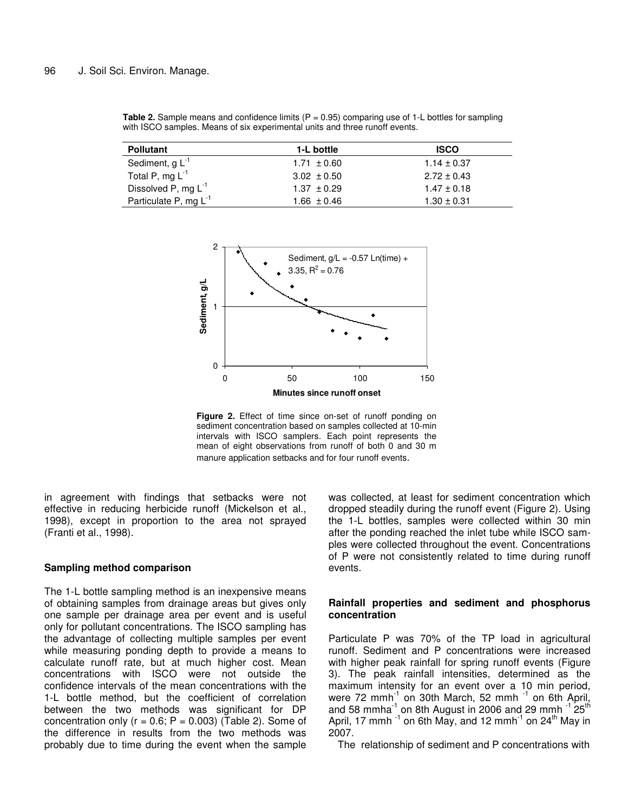| <b>Pollutant</b>           | 1-L bottle      | <b>ISCO</b>     |
|----------------------------|-----------------|-----------------|
| Sediment, $g L^{-1}$       | $1.71 \pm 0.60$ | $1.14 \pm 0.37$ |
| Total P, mg $L^{-1}$       | $3.02 \pm 0.50$ | $2.72 \pm 0.43$ |
| Dissolved P, mg $L^{-1}$   | $1.37 \pm 0.29$ | $1.47 \pm 0.18$ |
| Particulate P, mg $L^{-1}$ | $1.66 \pm 0.46$ | $1.30 \pm 0.31$ |

**Table 2.** Sample means and confidence limits (P = 0.95) comparing use of 1-L bottles for sampling

with ISCO samples. Means of six experimental units and three runoff events.



**Figure 2.** Effect of time since on-set of runoff ponding on sediment concentration based on samples collected at 10-min intervals with ISCO samplers. Each point represents the mean of eight observations from runoff of both 0 and 30 m manure application setbacks and for four runoff events.

in agreement with findings that setbacks were not effective in reducing herbicide runoff (Mickelson et al., 1998), except in proportion to the area not sprayed (Franti et al., 1998).

# **Sampling method comparison**

The 1-L bottle sampling method is an inexpensive means of obtaining samples from drainage areas but gives only one sample per drainage area per event and is useful only for pollutant concentrations. The ISCO sampling has the advantage of collecting multiple samples per event while measuring ponding depth to provide a means to calculate runoff rate, but at much higher cost. Mean concentrations with ISCO were not outside the confidence intervals of the mean concentrations with the 1-L bottle method, but the coefficient of correlation between the two methods was significant for DP concentration only ( $r = 0.6$ ;  $P = 0.003$ ) (Table 2). Some of the difference in results from the two methods was probably due to time during the event when the sample

was collected, at least for sediment concentration which dropped steadily during the runoff event (Figure 2). Using the 1-L bottles, samples were collected within 30 min after the ponding reached the inlet tube while ISCO samples were collected throughout the event. Concentrations of P were not consistently related to time during runoff events.

# **Rainfall properties and sediment and phosphorus concentration**

Particulate P was 70% of the TP load in agricultural runoff. Sediment and P concentrations were increased with higher peak rainfall for spring runoff events (Figure 3). The peak rainfall intensities, determined as the maximum intensity for an event over a 10 min period, were 72 mmh<sup>-1</sup> on 30th March, 52 mmh<sup>-1</sup> on 6th April, and 58 mmha $^{-1}$  on 8th August in 2006 and 29 mmh  $^{-1}$  25<sup>th</sup> April, 17 mmh  $^{\text{-1}}$  on 6th May, and 12 mmh $^{\text{-1}}$  on 24<sup>th</sup> May in 2007.

The relationship of sediment and P concentrations with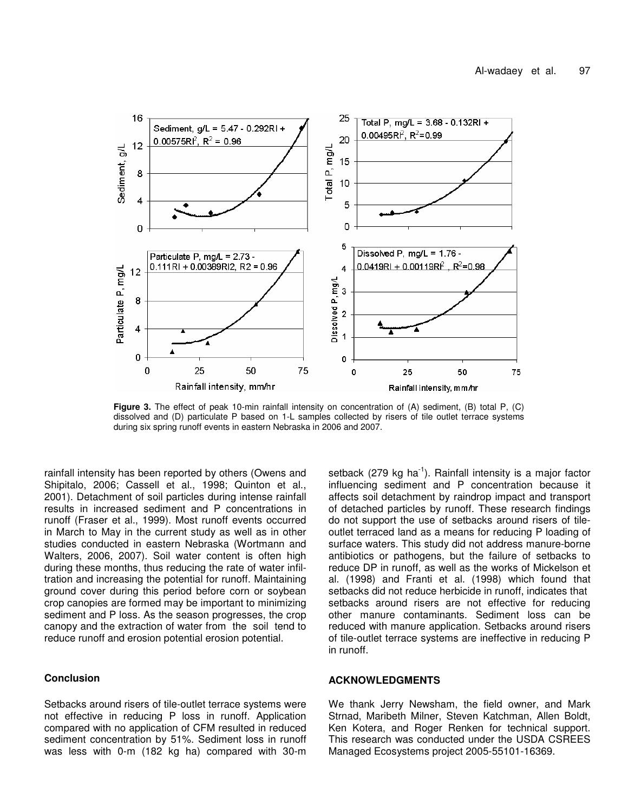

**Figure 3.** The effect of peak 10-min rainfall intensity on concentration of (A) sediment, (B) total P, (C) dissolved and (D) particulate P based on 1-L samples collected by risers of tile outlet terrace systems during six spring runoff events in eastern Nebraska in 2006 and 2007.

rainfall intensity has been reported by others (Owens and Shipitalo, 2006; Cassell et al., 1998; Quinton et al., 2001). Detachment of soil particles during intense rainfall results in increased sediment and P concentrations in runoff (Fraser et al., 1999). Most runoff events occurred in March to May in the current study as well as in other studies conducted in eastern Nebraska (Wortmann and Walters, 2006, 2007). Soil water content is often high during these months, thus reducing the rate of water infiltration and increasing the potential for runoff. Maintaining ground cover during this period before corn or soybean crop canopies are formed may be important to minimizing sediment and P loss. As the season progresses, the crop canopy and the extraction of water from the soil tend to reduce runoff and erosion potential erosion potential.

# **Conclusion**

Setbacks around risers of tile-outlet terrace systems were not effective in reducing P loss in runoff. Application compared with no application of CFM resulted in reduced sediment concentration by 51%. Sediment loss in runoff was less with 0-m (182 kg ha) compared with 30-m

setback (279 kg ha<sup>-1</sup>). Rainfall intensity is a major factor influencing sediment and P concentration because it affects soil detachment by raindrop impact and transport of detached particles by runoff. These research findings do not support the use of setbacks around risers of tileoutlet terraced land as a means for reducing P loading of surface waters. This study did not address manure-borne antibiotics or pathogens, but the failure of setbacks to reduce DP in runoff, as well as the works of Mickelson et al. (1998) and Franti et al. (1998) which found that setbacks did not reduce herbicide in runoff, indicates that setbacks around risers are not effective for reducing other manure contaminants. Sediment loss can be reduced with manure application. Setbacks around risers of tile-outlet terrace systems are ineffective in reducing P in runoff.

# **ACKNOWLEDGMENTS**

We thank Jerry Newsham, the field owner, and Mark Strnad, Maribeth Milner, Steven Katchman, Allen Boldt, Ken Kotera, and Roger Renken for technical support. This research was conducted under the USDA CSREES Managed Ecosystems project 2005-55101-16369.